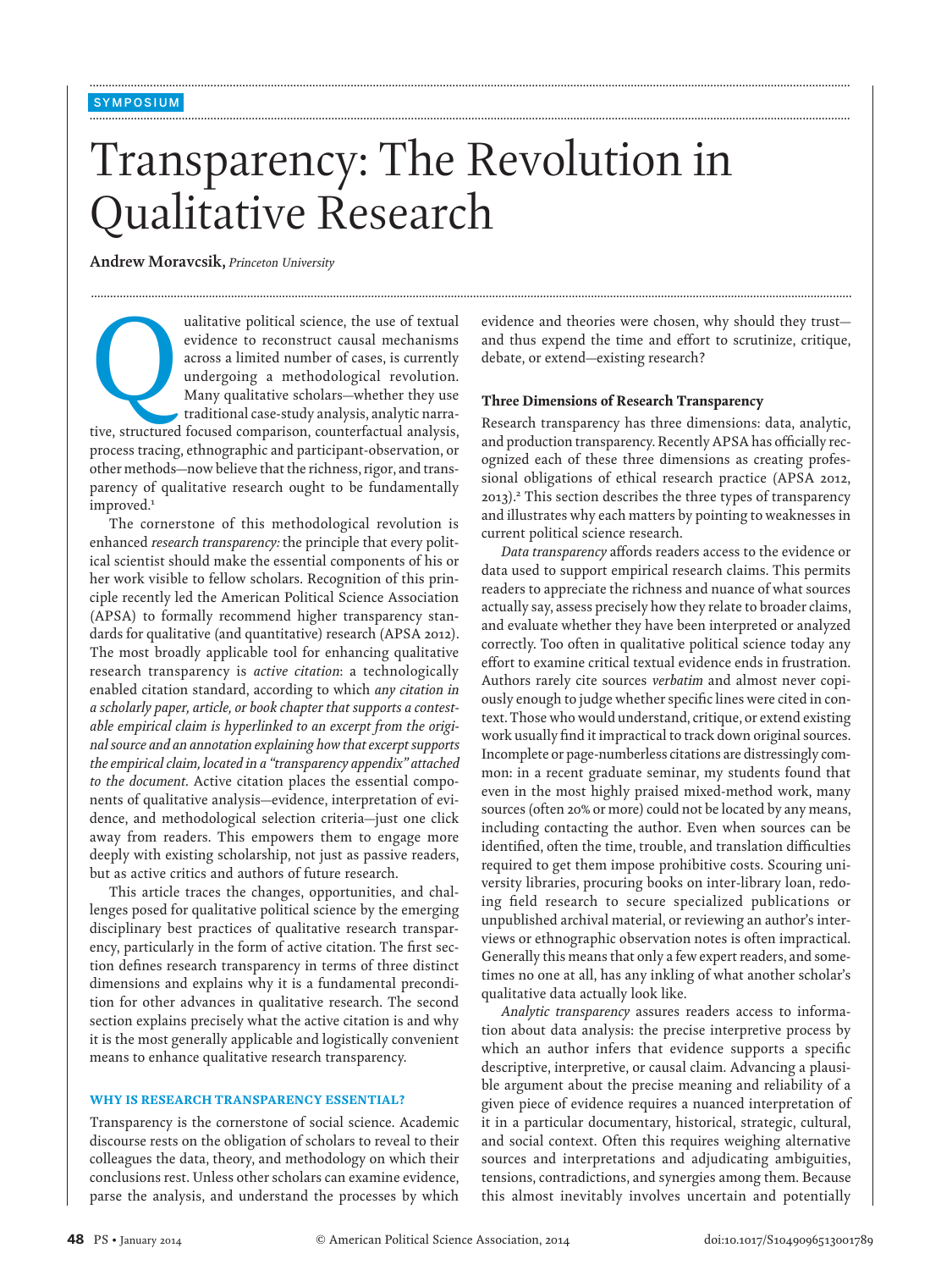# Transparency: The Revolution in Qualitative Research

**...............................................................................................................................................................................................................................................**

**...............................................................................................................................................................................................................................................**

**...............................................................................................................................................................................................................................................**

**Andrew Moravcsik,** *Princeton University*

ualitative political science, the use of textual<br>evidence to reconstruct causal mechanisms<br>across a limited number of cases, is currently<br>undergoing a methodological revolution.<br>Many qualitative scholars—whether they use<br>t evidence to reconstruct causal mechanisms across a limited number of cases, is currently undergoing a methodological revolution. Many qualitative scholars—whether they use traditional case-study analysis, analytic narrative, structured focused comparison, counterfactual analysis, process tracing, ethnographic and participant-observation, or other methods—now believe that the richness, rigor, and transparency of qualitative research ought to be fundamentally improved.<sup>1</sup>

The cornerstone of this methodological revolution is enhanced *research transparency:* the principle that every political scientist should make the essential components of his or her work visible to fellow scholars. Recognition of this principle recently led the American Political Science Association (APSA) to formally recommend higher transparency standards for qualitative (and quantitative) research (APSA 2012). The most broadly applicable tool for enhancing qualitative research transparency is *active citation*: a technologically enabled citation standard, according to which *any citation in a scholarly paper, article, or book chapter that supports a contestable empirical claim is hyperlinked to an excerpt from the original source and an annotation explaining how that excerpt supports the empirical claim, located in a "transparency appendix" attached to the document*. Active citation places the essential components of qualitative analysis—evidence, interpretation of evidence, and methodological selection criteria—just one click away from readers. This empowers them to engage more deeply with existing scholarship, not just as passive readers, but as active critics and authors of future research.

This article traces the changes, opportunities, and challenges posed for qualitative political science by the emerging disciplinary best practices of qualitative research transparency, particularly in the form of active citation. The first section defines research transparency in terms of three distinct dimensions and explains why it is a fundamental precondition for other advances in qualitative research. The second section explains precisely what the active citation is and why it is the most generally applicable and logistically convenient means to enhance qualitative research transparency.

## WHY IS RESEARCH TRANSPARENCY ESSENTIAL?

Transparency is the cornerstone of social science. Academic discourse rests on the obligation of scholars to reveal to their colleagues the data, theory, and methodology on which their conclusions rest. Unless other scholars can examine evidence, parse the analysis, and understand the processes by which evidence and theories were chosen, why should they trust and thus expend the time and effort to scrutinize, critique, debate, or extend—existing research?

### Three Dimensions of Research Transparency

Research transparency has three dimensions: data, analytic, and production transparency. Recently APSA has officially recognized each of these three dimensions as creating professional obligations of ethical research practice (APSA 2012, 2013).2 This section describes the three types of transparency and illustrates why each matters by pointing to weaknesses in current political science research.

*Data transparency* affords readers access to the evidence or data used to support empirical research claims. This permits readers to appreciate the richness and nuance of what sources actually say, assess precisely how they relate to broader claims, and evaluate whether they have been interpreted or analyzed correctly. Too often in qualitative political science today any effort to examine critical textual evidence ends in frustration. Authors rarely cite sources *verbatim* and almost never copiously enough to judge whether specific lines were cited in context. Those who would understand, critique, or extend existing work usually find it impractical to track down original sources. Incomplete or page-numberless citations are distressingly common: in a recent graduate seminar, my students found that even in the most highly praised mixed-method work, many sources (often 20% or more) could not be located by any means, including contacting the author. Even when sources can be identified, often the time, trouble, and translation difficulties required to get them impose prohibitive costs. Scouring university libraries, procuring books on inter-library loan, redoing field research to secure specialized publications or unpublished archival material, or reviewing an author's interviews or ethnographic observation notes is often impractical. Generally this means that only a few expert readers, and sometimes no one at all, has any inkling of what another scholar's qualitative data actually look like.

*Analytic transparency* assures readers access to information about data analysis: the precise interpretive process by which an author infers that evidence supports a specific descriptive, interpretive, or causal claim. Advancing a plausible argument about the precise meaning and reliability of a given piece of evidence requires a nuanced interpretation of it in a particular documentary, historical, strategic, cultural, and social context. Often this requires weighing alternative sources and interpretations and adjudicating ambiguities, tensions, contradictions, and synergies among them. Because this almost inevitably involves uncertain and potentially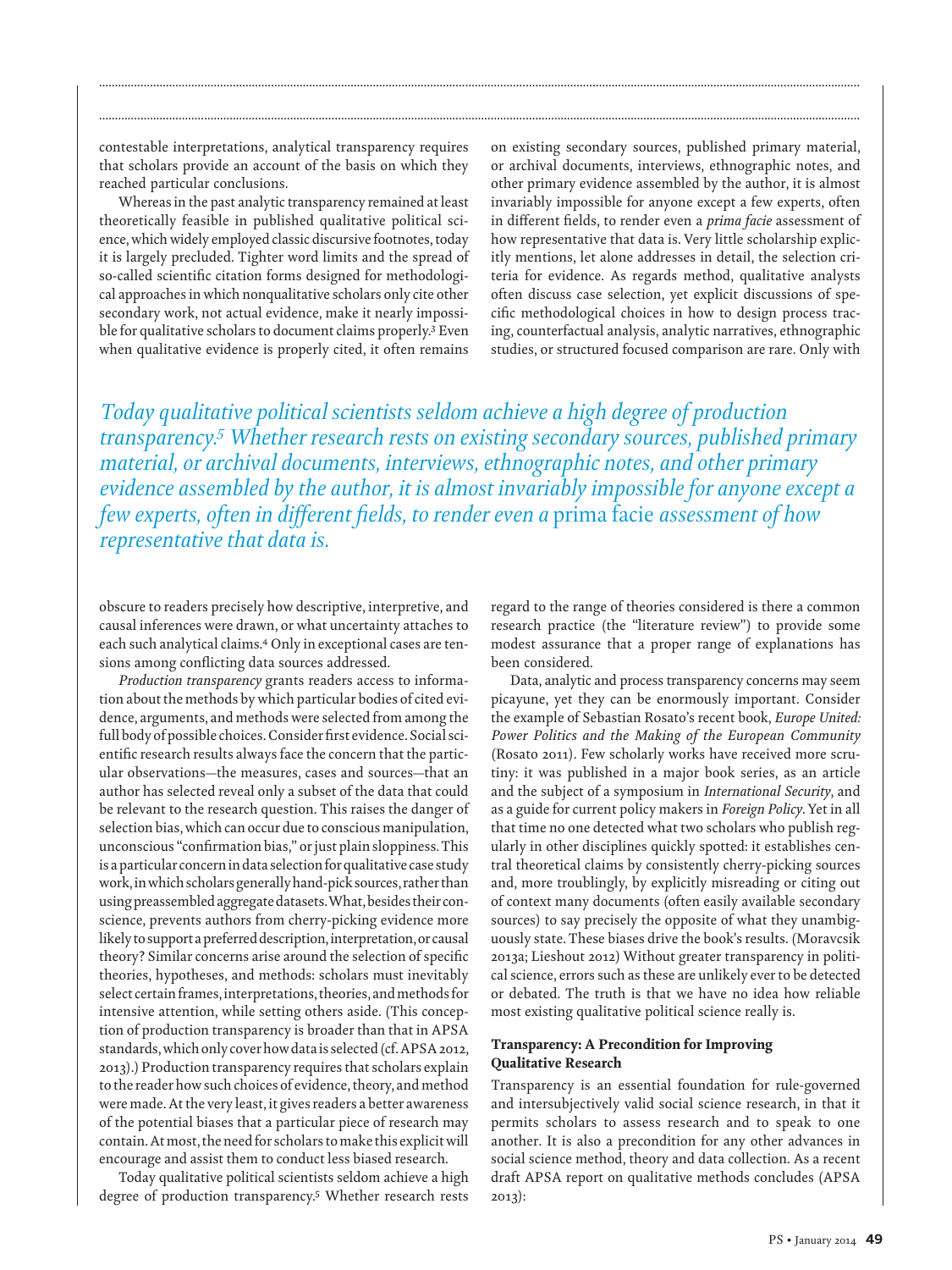contestable interpretations, analytical transparency requires that scholars provide an account of the basis on which they reached particular conclusions.

Whereas in the past analytic transparency remained at least theoretically feasible in published qualitative political science, which widely employed classic discursive footnotes, today it is largely precluded. Tighter word limits and the spread of so-called scientific citation forms designed for methodological approaches in which nonqualitative scholars only cite other secondary work, not actual evidence, make it nearly impossible for qualitative scholars to document claims properly.3 Even when qualitative evidence is properly cited, it often remains

on existing secondary sources, published primary material, or archival documents, interviews, ethnographic notes, and other primary evidence assembled by the author, it is almost invariably impossible for anyone except a few experts, often in different fields, to render even a *prima facie* assessment of how representative that data is. Very little scholarship explicitly mentions, let alone addresses in detail, the selection criteria for evidence. As regards method, qualitative analysts often discuss case selection, yet explicit discussions of specific methodological choices in how to design process tracing, counterfactual analysis, analytic narratives, ethnographic studies, or structured focused comparison are rare. Only with

*Today qualitative political scientists seldom achieve a high degree of production transparency.5 Whether research rests on existing secondary sources, published primary material, or archival documents, interviews, ethnographic notes, and other primary evidence assembled by the author, it is almost invariably impossible for anyone except a few experts, often in different fields, to render even a* prima facie *assessment of how representative that data is.*

**...............................................................................................................................................................................................................................................**

**...............................................................................................................................................................................................................................................**

obscure to readers precisely how descriptive, interpretive, and causal inferences were drawn, or what uncertainty attaches to each such analytical claims.4 Only in exceptional cases are tensions among conflicting data sources addressed.

*Production transparency* grants readers access to information about the methods by which particular bodies of cited evidence, arguments, and methods were selected from among the full body of possible choices.Consider first evidence. Social scientific research results always face the concern that the particular observations—the measures, cases and sources—that an author has selected reveal only a subset of the data that could be relevant to the research question. This raises the danger of selection bias, which can occur due to conscious manipulation, unconscious "confirmation bias," or just plain sloppiness. This isa particular concernin data selection for qualitative case study work,inwhich scholars generallyhand-pick sources, rather than using preassembledaggregate datasets.What, besides their conscience, prevents authors from cherry-picking evidence more likely to support a preferred description, interpretation, or causal theory? Similar concerns arise around the selection of specific theories, hypotheses, and methods: scholars must inevitably select certain frames, interpretations, theories, and methods for intensive attention, while setting others aside. (This conception of production transparency is broader than that in APSA standards,which only cover how datais selected (cf.APSA 2012, 2013).) Production transparency requires that scholars explain to the reader how such choices of evidence, theory, and method were made. At the very least, it gives readers a better awareness of the potential biases that a particular piece of research may contain.Atmost, the need for scholars tomake this explicit will encourage and assist them to conduct less biased research.

Today qualitative political scientists seldom achieve a high degree of production transparency.<sup>5</sup> Whether research rests

regard to the range of theories considered is there a common research practice (the "literature review") to provide some modest assurance that a proper range of explanations has been considered.

Data, analytic and process transparency concerns may seem picayune, yet they can be enormously important. Consider the example of Sebastian Rosato's recent book, *Europe United: Power Politics and the Making of the European Community* (Rosato 2011). Few scholarly works have received more scrutiny: it was published in a major book series, as an article and the subject of a symposium in *International Security*, and as a guide for current policy makers in *Foreign Policy*.Yet in all that time no one detected what two scholars who publish regularly in other disciplines quickly spotted: it establishes central theoretical claims by consistently cherry-picking sources and, more troublingly, by explicitly misreading or citing out of context many documents (often easily available secondary sources) to say precisely the opposite of what they unambiguously state. These biases drive the book's results. (Moravcsik 2013a; Lieshout 2012) Without greater transparency in political science, errors such as these are unlikely ever to be detected or debated. The truth is that we have no idea how reliable most existing qualitative political science really is.

# Transparency: A Precondition for Improving Qualitative Research

Transparency is an essential foundation for rule-governed and intersubjectively valid social science research, in that it permits scholars to assess research and to speak to one another. It is also a precondition for any other advances in social science method, theory and data collection. As a recent draft APSA report on qualitative methods concludes (APSA 2013):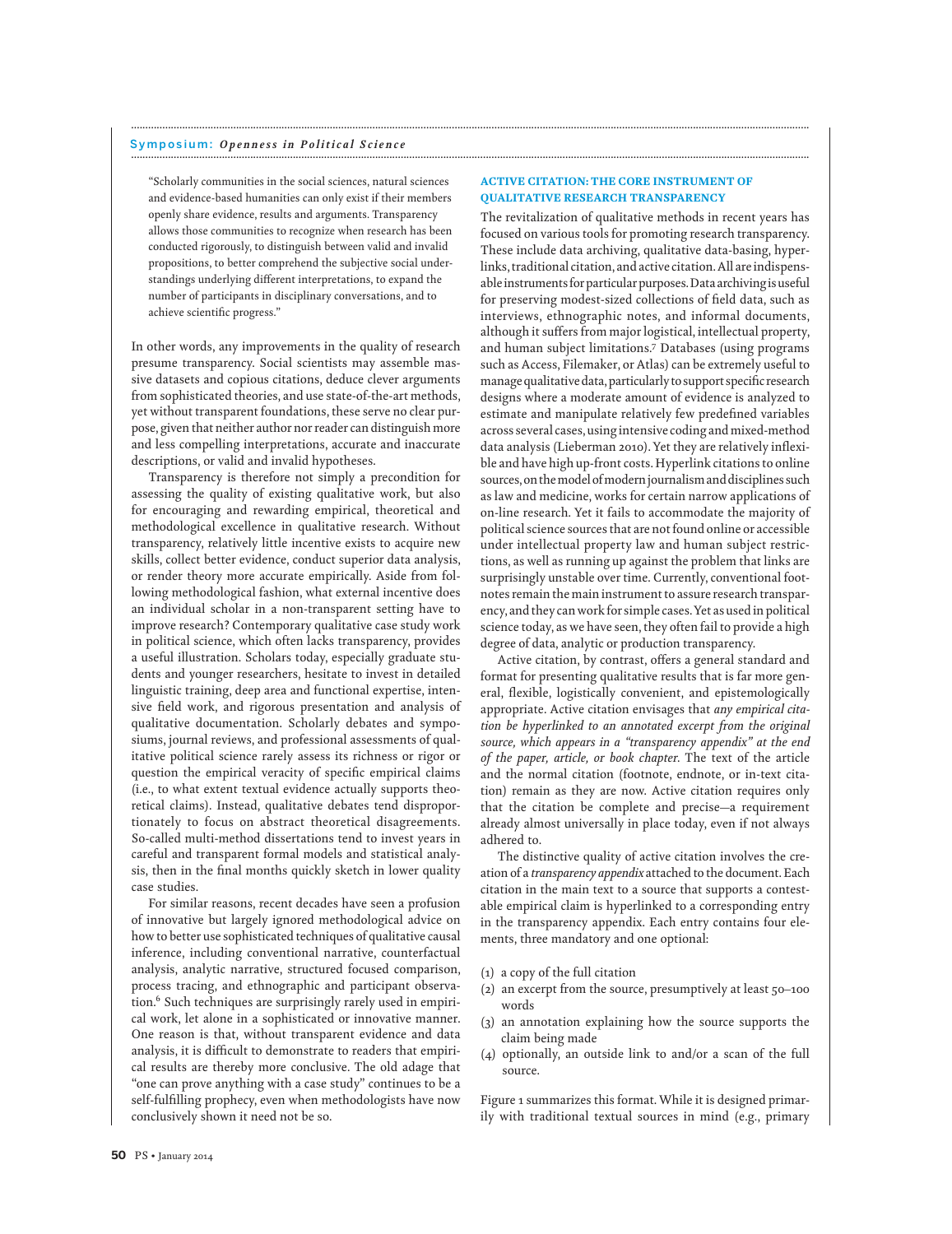"Scholarly communities in the social sciences, natural sciences and evidence-based humanities can only exist if their members openly share evidence, results and arguments. Transparency allows those communities to recognize when research has been conducted rigorously, to distinguish between valid and invalid propositions, to better comprehend the subjective social understandings underlying different interpretations, to expand the number of participants in disciplinary conversations, and to achieve scientific progress."

In other words, any improvements in the quality of research presume transparency. Social scientists may assemble massive datasets and copious citations, deduce clever arguments from sophisticated theories, and use state-of-the-art methods, yet without transparent foundations, these serve no clear purpose, given that neither author nor reader can distinguish more and less compelling interpretations, accurate and inaccurate descriptions, or valid and invalid hypotheses.

Transparency is therefore not simply a precondition for assessing the quality of existing qualitative work, but also for encouraging and rewarding empirical, theoretical and methodological excellence in qualitative research. Without transparency, relatively little incentive exists to acquire new skills, collect better evidence, conduct superior data analysis, or render theory more accurate empirically. Aside from following methodological fashion, what external incentive does an individual scholar in a non-transparent setting have to improve research? Contemporary qualitative case study work in political science, which often lacks transparency, provides a useful illustration. Scholars today, especially graduate students and younger researchers, hesitate to invest in detailed linguistic training, deep area and functional expertise, intensive field work, and rigorous presentation and analysis of qualitative documentation. Scholarly debates and symposiums, journal reviews, and professional assessments of qualitative political science rarely assess its richness or rigor or question the empirical veracity of specific empirical claims (i.e., to what extent textual evidence actually supports theoretical claims). Instead, qualitative debates tend disproportionately to focus on abstract theoretical disagreements. So-called multi-method dissertations tend to invest years in careful and transparent formal models and statistical analysis, then in the final months quickly sketch in lower quality case studies.

For similar reasons, recent decades have seen a profusion of innovative but largely ignored methodological advice on how to better use sophisticated techniques of qualitative causal inference, including conventional narrative, counterfactual analysis, analytic narrative, structured focused comparison, process tracing, and ethnographic and participant observation.6 Such techniques are surprisingly rarely used in empirical work, let alone in a sophisticated or innovative manner. One reason is that, without transparent evidence and data analysis, it is difficult to demonstrate to readers that empirical results are thereby more conclusive. The old adage that "one can prove anything with a case study" continues to be a self-fulfilling prophecy, even when methodologists have now conclusively shown it need not be so.

# ACTIVE CITATION: THE CORE INSTRUMENT OF QUALITATIVE RESEARCH TRANSPARENCY

**...............................................................................................................................................................................................................................................**

The revitalization of qualitative methods in recent years has focused on various tools for promoting research transparency. These include data archiving, qualitative data-basing, hyperlinks, traditional citation, and active citation.All areindispensable instruments for particular purposes. Data archiving is useful for preserving modest-sized collections of field data, such as interviews, ethnographic notes, and informal documents, although it suffers from major logistical, intellectual property, and human subject limitations.7 Databases (using programs such as Access, Filemaker, or Atlas) can be extremely useful to manage qualitative data, particularly to support specific research designs where a moderate amount of evidence is analyzed to estimate and manipulate relatively few predefined variables across several cases, using intensive coding and mixed-method data analysis (Lieberman 2010). Yet they are relatively inflexible and have high up-front costs. Hyperlink citations to online sources, on the model of modern journalism and disciplines such as law and medicine, works for certain narrow applications of on-line research. Yet it fails to accommodate the majority of political science sources that are not found online or accessible under intellectual property law and human subject restrictions, as well as running up against the problem that links are surprisingly unstable over time. Currently, conventional footnotes remain the main instrument to assure research transparency, and they can work for simple cases.Yet as usedin political science today, as we have seen, they often fail to provide a high degree of data, analytic or production transparency.

Active citation, by contrast, offers a general standard and format for presenting qualitative results that is far more general, flexible, logistically convenient, and epistemologically appropriate. Active citation envisages that *any empirical citation be hyperlinked to an annotated excerpt from the original source, which appears in a "transparency appendix" at the end of the paper, article, or book chapter*. The text of the article and the normal citation (footnote, endnote, or in-text citation) remain as they are now. Active citation requires only that the citation be complete and precise—a requirement already almost universally in place today, even if not always adhered to.

The distinctive quality of active citation involves the creation of a *transparency appendix* attached to the document. Each citation in the main text to a source that supports a contestable empirical claim is hyperlinked to a corresponding entry in the transparency appendix. Each entry contains four elements, three mandatory and one optional:

- (1) a copy of the full citation
- (2) an excerpt from the source, presumptively at least 50–100 words
- (3) an annotation explaining how the source supports the claim being made
- (4) optionally, an outside link to and/or a scan of the full source.

Figure 1 summarizes this format.While it is designed primarily with traditional textual sources in mind (e.g., primary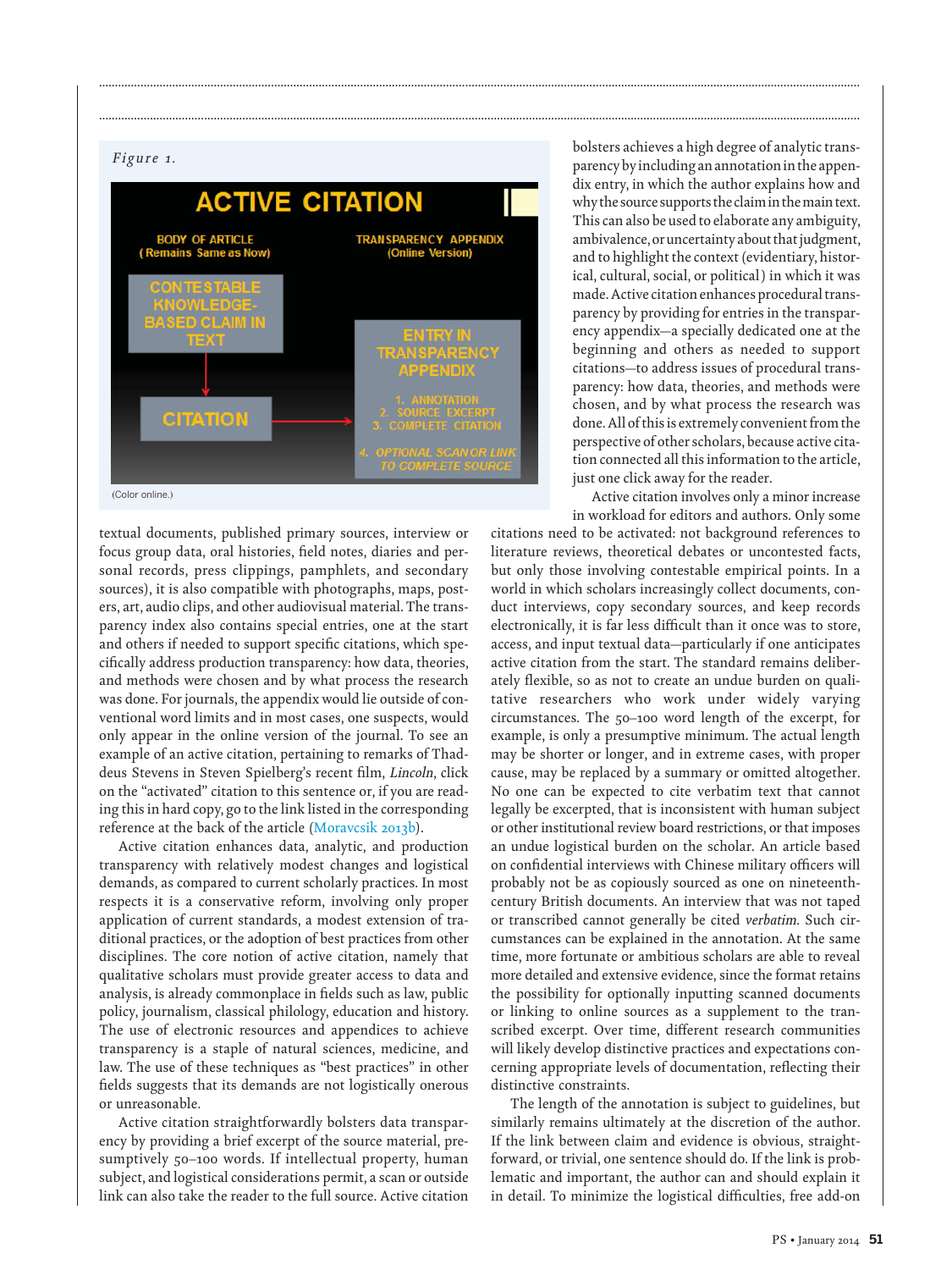# *Figure 1.*



**...............................................................................................................................................................................................................................................**

**...............................................................................................................................................................................................................................................**

textual documents, published primary sources, interview or focus group data, oral histories, field notes, diaries and personal records, press clippings, pamphlets, and secondary sources), it is also compatible with photographs, maps, posters, art, audio clips, and other audiovisual material. The transparency index also contains special entries, one at the start and others if needed to support specific citations, which specifically address production transparency: how data, theories, and methods were chosen and by what process the research was done. For journals, the appendix would lie outside of conventional word limits and in most cases, one suspects, would only appear in the online version of the journal. To see an example of an active citation, pertaining to remarks of Thaddeus Stevens in Steven Spielberg's recent film, *Lincoln*, click on the "activated" citation to this sentence or, if you are reading this in hard copy, go to the link listed in the corresponding reference at the back of the article (Moravcsik 2013b).

Active citation enhances data, analytic, and production transparency with relatively modest changes and logistical demands, as compared to current scholarly practices. In most respects it is a conservative reform, involving only proper application of current standards, a modest extension of traditional practices, or the adoption of best practices from other disciplines. The core notion of active citation, namely that qualitative scholars must provide greater access to data and analysis, is already commonplace in fields such as law, public policy, journalism, classical philology, education and history. The use of electronic resources and appendices to achieve transparency is a staple of natural sciences, medicine, and law. The use of these techniques as "best practices" in other fields suggests that its demands are not logistically onerous or unreasonable.

Active citation straightforwardly bolsters data transparency by providing a brief excerpt of the source material, presumptively 50–100 words. If intellectual property, human subject, and logistical considerations permit, a scan or outside link can also take the reader to the full source. Active citation

bolsters achieves a high degree of analytic transparency by including an annotation in the appendix entry, in which the author explains how and why the source supports the claimin themain text. This can also be used to elaborate any ambiguity, ambivalence, or uncertainty about that judgment, and to highlight the context (evidentiary, historical, cultural, social, or political) in which it was made.Active citation enhances procedural transparency by providing for entries in the transparency appendix—a specially dedicated one at the beginning and others as needed to support citations—to address issues of procedural transparency: how data, theories, and methods were chosen, and by what process the research was done.All of thisis extremely convenient from the perspective of other scholars, because active citation connected all this information to the article, just one click away for the reader.

Active citation involves only a minor increase in workload for editors and authors. Only some

citations need to be activated: not background references to literature reviews, theoretical debates or uncontested facts, but only those involving contestable empirical points. In a world in which scholars increasingly collect documents, conduct interviews, copy secondary sources, and keep records electronically, it is far less difficult than it once was to store, access, and input textual data—particularly if one anticipates active citation from the start. The standard remains deliberately flexible, so as not to create an undue burden on qualitative researchers who work under widely varying circumstances. The 50–100 word length of the excerpt, for example, is only a presumptive minimum. The actual length may be shorter or longer, and in extreme cases, with proper cause, may be replaced by a summary or omitted altogether. No one can be expected to cite verbatim text that cannot legally be excerpted, that is inconsistent with human subject or other institutional review board restrictions, or that imposes an undue logistical burden on the scholar. An article based on confidential interviews with Chinese military officers will probably not be as copiously sourced as one on nineteenthcentury British documents. An interview that was not taped or transcribed cannot generally be cited *verbatim*. Such circumstances can be explained in the annotation. At the same time, more fortunate or ambitious scholars are able to reveal more detailed and extensive evidence, since the format retains the possibility for optionally inputting scanned documents or linking to online sources as a supplement to the transcribed excerpt. Over time, different research communities will likely develop distinctive practices and expectations concerning appropriate levels of documentation, reflecting their distinctive constraints.

The length of the annotation is subject to guidelines, but similarly remains ultimately at the discretion of the author. If the link between claim and evidence is obvious, straightforward, or trivial, one sentence should do. If the link is problematic and important, the author can and should explain it in detail. To minimize the logistical difficulties, free add-on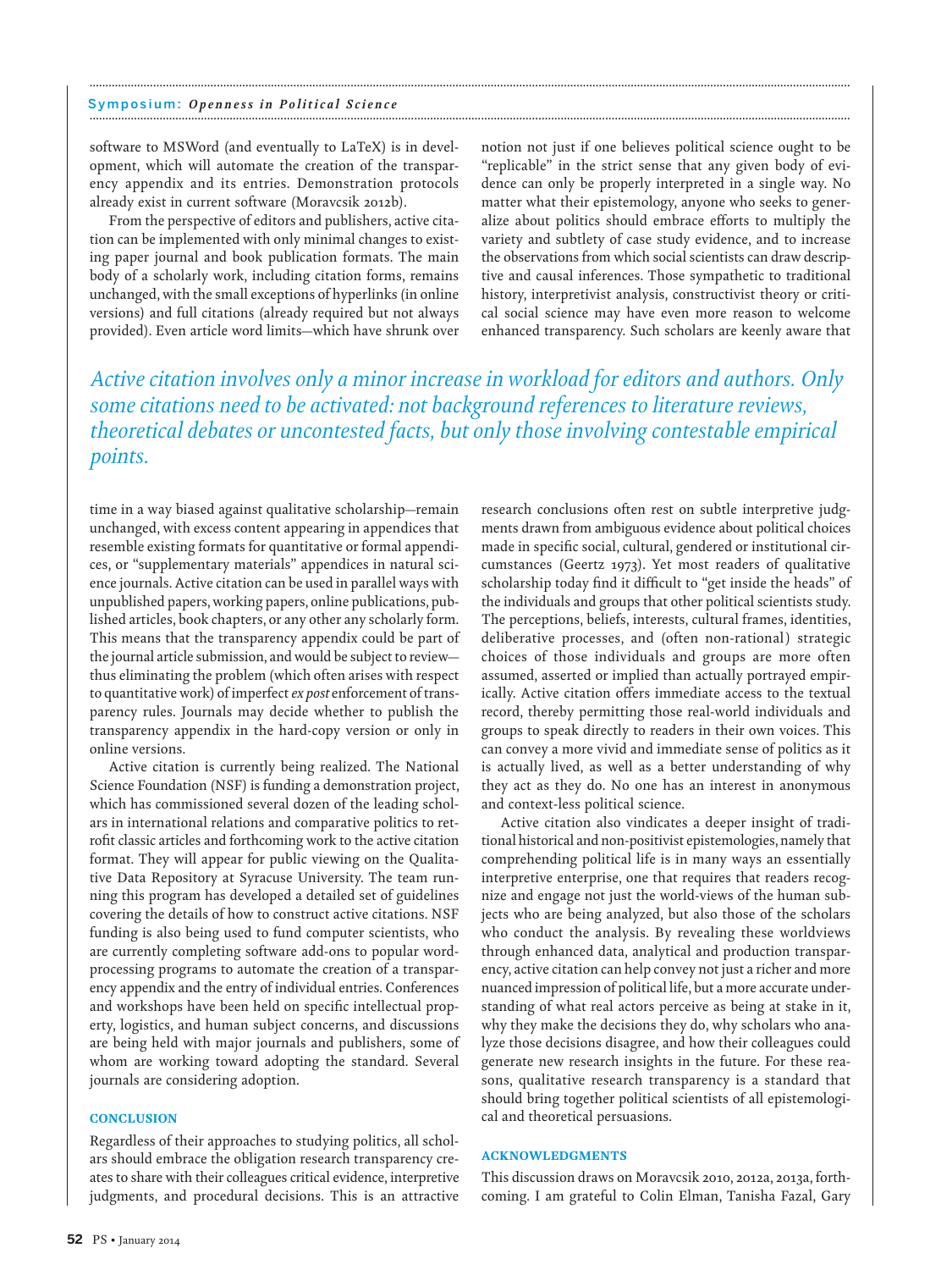software to MSWord (and eventually to LaTeX) is in development, which will automate the creation of the transparency appendix and its entries. Demonstration protocols already exist in current software (Moravcsik 2012b).

From the perspective of editors and publishers, active citation can be implemented with only minimal changes to existing paper journal and book publication formats. The main body of a scholarly work, including citation forms, remains unchanged, with the small exceptions of hyperlinks (in online versions) and full citations (already required but not always provided). Even article word limits—which have shrunk over

notion not just if one believes political science ought to be "replicable" in the strict sense that any given body of evidence can only be properly interpreted in a single way. No matter what their epistemology, anyone who seeks to generalize about politics should embrace efforts to multiply the variety and subtlety of case study evidence, and to increase the observations from which social scientists can draw descriptive and causal inferences. Those sympathetic to traditional history, interpretivist analysis, constructivist theory or critical social science may have even more reason to welcome enhanced transparency. Such scholars are keenly aware that

*Active citation involves only a minor increase in workload for editors and authors. Only some citations need to be activated: not background references to literature reviews, theoretical debates or uncontested facts, but only those involving contestable empirical points.*

**...............................................................................................................................................................................................................................................**

time in a way biased against qualitative scholarship—remain unchanged, with excess content appearing in appendices that resemble existing formats for quantitative or formal appendices, or "supplementary materials" appendices in natural science journals. Active citation can be used in parallel ways with unpublished papers, working papers, online publications, published articles, book chapters, or any other any scholarly form. This means that the transparency appendix could be part of the journal article submission, and would be subject to review thus eliminating the problem (which often arises with respect to quantitative work) of imperfect *ex post* enforcement of transparency rules. Journals may decide whether to publish the transparency appendix in the hard-copy version or only in online versions.

Active citation is currently being realized. The National Science Foundation (NSF) is funding a demonstration project, which has commissioned several dozen of the leading scholars in international relations and comparative politics to retrofit classic articles and forthcoming work to the active citation format. They will appear for public viewing on the Qualitative Data Repository at Syracuse University. The team running this program has developed a detailed set of guidelines covering the details of how to construct active citations. NSF funding is also being used to fund computer scientists, who are currently completing software add-ons to popular wordprocessing programs to automate the creation of a transparency appendix and the entry of individual entries. Conferences and workshops have been held on specific intellectual property, logistics, and human subject concerns, and discussions are being held with major journals and publishers, some of whom are working toward adopting the standard. Several journals are considering adoption.

## **CONCLUSION**

Regardless of their approaches to studying politics, all scholars should embrace the obligation research transparency creates to share with their colleagues critical evidence, interpretive judgments, and procedural decisions. This is an attractive

research conclusions often rest on subtle interpretive judgments drawn from ambiguous evidence about political choices made in specific social, cultural, gendered or institutional circumstances (Geertz 1973). Yet most readers of qualitative scholarship today find it difficult to "get inside the heads" of the individuals and groups that other political scientists study. The perceptions, beliefs, interests, cultural frames, identities, deliberative processes, and (often non-rational) strategic choices of those individuals and groups are more often assumed, asserted or implied than actually portrayed empirically. Active citation offers immediate access to the textual record, thereby permitting those real-world individuals and groups to speak directly to readers in their own voices. This can convey a more vivid and immediate sense of politics as it is actually lived, as well as a better understanding of why they act as they do. No one has an interest in anonymous and context-less political science.

Active citation also vindicates a deeper insight of traditional historical and non-positivist epistemologies, namely that comprehending political life is in many ways an essentially interpretive enterprise, one that requires that readers recognize and engage not just the world-views of the human subjects who are being analyzed, but also those of the scholars who conduct the analysis. By revealing these worldviews through enhanced data, analytical and production transparency, active citation can help convey not just a richer and more nuanced impression of political life, but a more accurate understanding of what real actors perceive as being at stake in it, why they make the decisions they do, why scholars who analyze those decisions disagree, and how their colleagues could generate new research insights in the future. For these reasons, qualitative research transparency is a standard that should bring together political scientists of all epistemological and theoretical persuasions.

#### ACKNOWLEDGMENTS

This discussion draws on Moravcsik 2010, 2012a, 2013a, forthcoming. I am grateful to Colin Elman, Tanisha Fazal, Gary